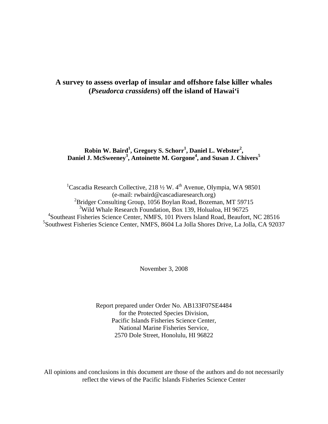# **A survey to assess overlap of insular and offshore false killer whales (***Pseudorca crassidens***) off the island of Hawai'i**

# **Robin W. Baird<sup>1</sup> , Gregory S. Schorr<sup>1</sup> , Daniel L. Webster<sup>2</sup> , Daniel J. McSweeney<sup>3</sup> , Antoinette M. Gorgone<sup>4</sup> , and Susan J. Chivers<sup>5</sup>**

<sup>1</sup>Cascadia Research Collective, 218 1/2 W. 4<sup>th</sup> Avenue, Olympia, WA 98501 (e-mail: rwbaird@cascadiaresearch.org) <sup>2</sup>Bridger Consulting Group, 1056 Boylan Road, Bozeman, MT 59715 3 Wild Whale Research Foundation, Box 139, Holualoa, HI 96725 4 Southeast Fisheries Science Center, NMFS, 101 Pivers Island Road, Beaufort, NC 28516 5 Southwest Fisheries Science Center, NMFS, 8604 La Jolla Shores Drive, La Jolla, CA 92037

November 3, 2008

Report prepared under Order No. AB133F07SE4484 for the Protected Species Division, Pacific Islands Fisheries Science Center, National Marine Fisheries Service, 2570 Dole Street, Honolulu, HI 96822

All opinions and conclusions in this document are those of the authors and do not necessarily reflect the views of the Pacific Islands Fisheries Science Center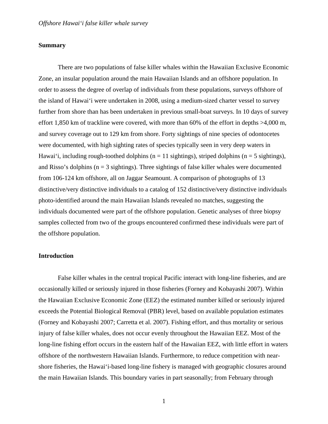### **Summary**

 There are two populations of false killer whales within the Hawaiian Exclusive Economic Zone, an insular population around the main Hawaiian Islands and an offshore population. In order to assess the degree of overlap of individuals from these populations, surveys offshore of the island of Hawai'i were undertaken in 2008, using a medium-sized charter vessel to survey further from shore than has been undertaken in previous small-boat surveys. In 10 days of survey effort 1,850 km of trackline were covered, with more than 60% of the effort in depths >4,000 m, and survey coverage out to 129 km from shore. Forty sightings of nine species of odontocetes were documented, with high sighting rates of species typically seen in very deep waters in Hawai'i, including rough-toothed dolphins ( $n = 11$  sightings), striped dolphins ( $n = 5$  sightings), and Risso's dolphins ( $n = 3$  sightings). Three sightings of false killer whales were documented from 106-124 km offshore, all on Jaggar Seamount. A comparison of photographs of 13 distinctive/very distinctive individuals to a catalog of 152 distinctive/very distinctive individuals photo-identified around the main Hawaiian Islands revealed no matches, suggesting the individuals documented were part of the offshore population. Genetic analyses of three biopsy samples collected from two of the groups encountered confirmed these individuals were part of the offshore population.

### **Introduction**

 False killer whales in the central tropical Pacific interact with long-line fisheries, and are occasionally killed or seriously injured in those fisheries (Forney and Kobayashi 2007). Within the Hawaiian Exclusive Economic Zone (EEZ) the estimated number killed or seriously injured exceeds the Potential Biological Removal (PBR) level, based on available population estimates (Forney and Kobayashi 2007; Carretta et al. 2007). Fishing effort, and thus mortality or serious injury of false killer whales, does not occur evenly throughout the Hawaiian EEZ. Most of the long-line fishing effort occurs in the eastern half of the Hawaiian EEZ, with little effort in waters offshore of the northwestern Hawaiian Islands. Furthermore, to reduce competition with nearshore fisheries, the Hawai'i-based long-line fishery is managed with geographic closures around the main Hawaiian Islands. This boundary varies in part seasonally; from February through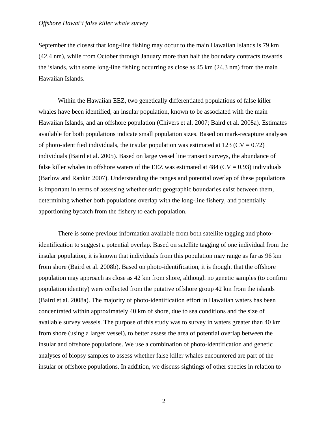September the closest that long-line fishing may occur to the main Hawaiian Islands is 79 km (42.4 nm), while from October through January more than half the boundary contracts towards the islands, with some long-line fishing occurring as close as 45 km (24.3 nm) from the main Hawaiian Islands.

 Within the Hawaiian EEZ, two genetically differentiated populations of false killer whales have been identified, an insular population, known to be associated with the main Hawaiian Islands, and an offshore population (Chivers et al. 2007; Baird et al. 2008a). Estimates available for both populations indicate small population sizes. Based on mark-recapture analyses of photo-identified individuals, the insular population was estimated at 123 ( $CV = 0.72$ ) individuals (Baird et al. 2005). Based on large vessel line transect surveys, the abundance of false killer whales in offshore waters of the EEZ was estimated at  $484$  (CV = 0.93) individuals (Barlow and Rankin 2007). Understanding the ranges and potential overlap of these populations is important in terms of assessing whether strict geographic boundaries exist between them, determining whether both populations overlap with the long-line fishery, and potentially apportioning bycatch from the fishery to each population.

 There is some previous information available from both satellite tagging and photoidentification to suggest a potential overlap. Based on satellite tagging of one individual from the insular population, it is known that individuals from this population may range as far as 96 km from shore (Baird et al. 2008b). Based on photo-identification, it is thought that the offshore population may approach as close as 42 km from shore, although no genetic samples (to confirm population identity) were collected from the putative offshore group 42 km from the islands (Baird et al. 2008a). The majority of photo-identification effort in Hawaiian waters has been concentrated within approximately 40 km of shore, due to sea conditions and the size of available survey vessels. The purpose of this study was to survey in waters greater than 40 km from shore (using a larger vessel), to better assess the area of potential overlap between the insular and offshore populations. We use a combination of photo-identification and genetic analyses of biopsy samples to assess whether false killer whales encountered are part of the insular or offshore populations. In addition, we discuss sightings of other species in relation to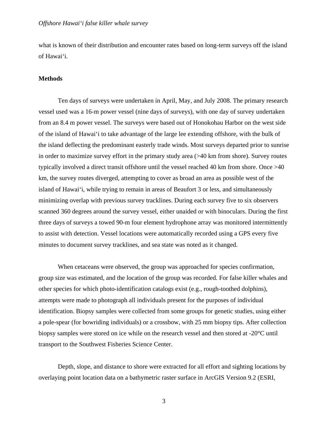what is known of their distribution and encounter rates based on long-term surveys off the island of Hawai'i.

## **Methods**

 Ten days of surveys were undertaken in April, May, and July 2008. The primary research vessel used was a 16-m power vessel (nine days of surveys), with one day of survey undertaken from an 8.4 m power vessel. The surveys were based out of Honokohau Harbor on the west side of the island of Hawai'i to take advantage of the large lee extending offshore, with the bulk of the island deflecting the predominant easterly trade winds. Most surveys departed prior to sunrise in order to maximize survey effort in the primary study area (>40 km from shore). Survey routes typically involved a direct transit offshore until the vessel reached 40 km from shore. Once >40 km, the survey routes diverged, attempting to cover as broad an area as possible west of the island of Hawai'i, while trying to remain in areas of Beaufort 3 or less, and simultaneously minimizing overlap with previous survey tracklines. During each survey five to six observers scanned 360 degrees around the survey vessel, either unaided or with binoculars. During the first three days of surveys a towed 90-m four element hydrophone array was monitored intermittently to assist with detection. Vessel locations were automatically recorded using a GPS every five minutes to document survey tracklines, and sea state was noted as it changed.

 When cetaceans were observed, the group was approached for species confirmation, group size was estimated, and the location of the group was recorded. For false killer whales and other species for which photo-identification catalogs exist (e.g., rough-toothed dolphins), attempts were made to photograph all individuals present for the purposes of individual identification. Biopsy samples were collected from some groups for genetic studies, using either a pole-spear (for bowriding individuals) or a crossbow, with 25 mm biopsy tips. After collection biopsy samples were stored on ice while on the research vessel and then stored at -20°C until transport to the Southwest Fisheries Science Center.

Depth, slope, and distance to shore were extracted for all effort and sighting locations by overlaying point location data on a bathymetric raster surface in ArcGIS Version 9.2 (ESRI,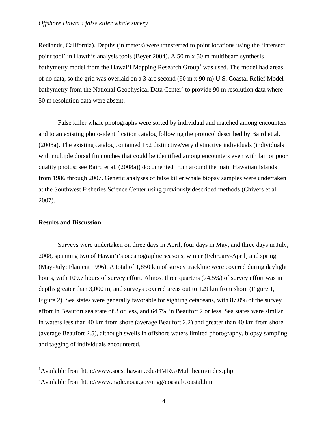Redlands, California). Depths (in meters) were transferred to point locations using the 'intersect point tool' in Hawth's analysis tools (Beyer 2004). A 50 m x 50 m multibeam synthesis bathymetry model from the Hawai'i Mapping Research Group<sup>1</sup> was used. The model had areas of no data, so the grid was overlaid on a 3-arc second (90 m x 90 m) U.S. Coastal Relief Model bathymetry from the National Geophysical Data Center<sup>2</sup> to provide 90 m resolution data where 50 m resolution data were absent.

False killer whale photographs were sorted by individual and matched among encounters and to an existing photo-identification catalog following the protocol described by Baird et al. (2008a). The existing catalog contained 152 distinctive/very distinctive individuals (individuals with multiple dorsal fin notches that could be identified among encounters even with fair or poor quality photos; see Baird et al. (2008a)) documented from around the main Hawaiian Islands from 1986 through 2007. Genetic analyses of false killer whale biopsy samples were undertaken at the Southwest Fisheries Science Center using previously described methods (Chivers et al. 2007).

### **Results and Discussion**

 Surveys were undertaken on three days in April, four days in May, and three days in July, 2008, spanning two of Hawai'i's oceanographic seasons, winter (February-April) and spring (May-July; Flament 1996). A total of 1,850 km of survey trackline were covered during daylight hours, with 109.7 hours of survey effort. Almost three quarters (74.5%) of survey effort was in depths greater than 3,000 m, and surveys covered areas out to 129 km from shore (Figure 1, Figure 2). Sea states were generally favorable for sighting cetaceans, with 87.0% of the survey effort in Beaufort sea state of 3 or less, and 64.7% in Beaufort 2 or less. Sea states were similar in waters less than 40 km from shore (average Beaufort 2.2) and greater than 40 km from shore (average Beaufort 2.5), although swells in offshore waters limited photography, biopsy sampling and tagging of individuals encountered.

 1 Available from http://www.soest.hawaii.edu/HMRG/Multibeam/index.php

<sup>&</sup>lt;sup>2</sup>Available from http://www.ngdc.noaa.gov/mgg/coastal/coastal.htm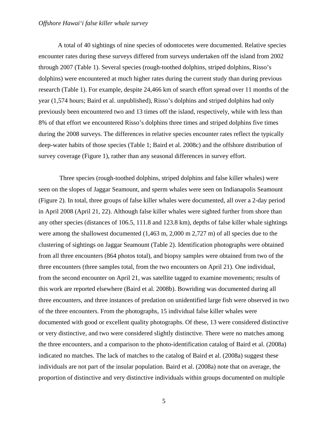## *Offshore Hawai'i false killer whale survey*

 A total of 40 sightings of nine species of odontocetes were documented. Relative species encounter rates during these surveys differed from surveys undertaken off the island from 2002 through 2007 (Table 1). Several species (rough-toothed dolphins, striped dolphins, Risso's dolphins) were encountered at much higher rates during the current study than during previous research (Table 1). For example, despite 24,466 km of search effort spread over 11 months of the year (1,574 hours; Baird et al. unpublished), Risso's dolphins and striped dolphins had only previously been encountered two and 13 times off the island, respectively, while with less than 8% of that effort we encountered Risso's dolphins three times and striped dolphins five times during the 2008 surveys. The differences in relative species encounter rates reflect the typically deep-water habits of those species (Table 1; Baird et al. 2008c) and the offshore distribution of survey coverage (Figure 1), rather than any seasonal differences in survey effort.

 Three species (rough-toothed dolphins, striped dolphins and false killer whales) were seen on the slopes of Jaggar Seamount, and sperm whales were seen on Indianapolis Seamount (Figure 2). In total, three groups of false killer whales were documented, all over a 2-day period in April 2008 (April 21, 22). Although false killer whales were sighted further from shore than any other species (distances of 106.5, 111.8 and 123.8 km), depths of false killer whale sightings were among the shallowest documented (1,463 m, 2,000 m 2,727 m) of all species due to the clustering of sightings on Jaggar Seamount (Table 2). Identification photographs were obtained from all three encounters (864 photos total), and biopsy samples were obtained from two of the three encounters (three samples total, from the two encounters on April 21). One individual, from the second encounter on April 21, was satellite tagged to examine movements; results of this work are reported elsewhere (Baird et al. 2008b). Bowriding was documented during all three encounters, and three instances of predation on unidentified large fish were observed in two of the three encounters. From the photographs, 15 individual false killer whales were documented with good or excellent quality photographs. Of these, 13 were considered distinctive or very distinctive, and two were considered slightly distinctive. There were no matches among the three encounters, and a comparison to the photo-identification catalog of Baird et al. (2008a) indicated no matches. The lack of matches to the catalog of Baird et al. (2008a) suggest these individuals are not part of the insular population. Baird et al. (2008a) note that on average, the proportion of distinctive and very distinctive individuals within groups documented on multiple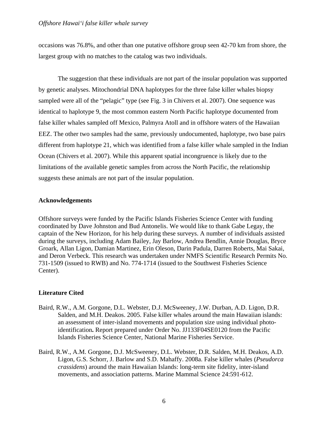occasions was 76.8%, and other than one putative offshore group seen 42-70 km from shore, the largest group with no matches to the catalog was two individuals.

 The suggestion that these individuals are not part of the insular population was supported by genetic analyses. Mitochondrial DNA haplotypes for the three false killer whales biopsy sampled were all of the "pelagic" type (see Fig. 3 in Chivers et al. 2007). One sequence was identical to haplotype 9, the most common eastern North Pacific haplotype documented from false killer whales sampled off Mexico, Palmyra Atoll and in offshore waters of the Hawaiian EEZ. The other two samples had the same, previously undocumented, haplotype, two base pairs different from haplotype 21, which was identified from a false killer whale sampled in the Indian Ocean (Chivers et al. 2007). While this apparent spatial incongruence is likely due to the limitations of the available genetic samples from across the North Pacific, the relationship suggests these animals are not part of the insular population.

# **Acknowledgements**

Offshore surveys were funded by the Pacific Islands Fisheries Science Center with funding coordinated by Dave Johnston and Bud Antonelis. We would like to thank Gabe Legay, the captain of the New Horizon, for his help during these surveys. A number of individuals assisted during the surveys, including Adam Bailey, Jay Barlow, Andrea Bendlin, Annie Douglas, Bryce Groark, Allan Ligon, Damian Martinez, Erin Oleson, Darin Padula, Darren Roberts, Mai Sakai, and Deron Verbeck. This research was undertaken under NMFS Scientific Research Permits No. 731-1509 (issued to RWB) and No. 774-1714 (issued to the Southwest Fisheries Science Center).

# **Literature Cited**

- Baird, R.W., A.M. Gorgone, D.L. Webster, D.J. McSweeney, J.W. Durban, A.D. Ligon, D.R. Salden, and M.H. Deakos. 2005. False killer whales around the main Hawaiian islands: an assessment of inter-island movements and population size using individual photoidentification**.** Report prepared under Order No. JJ133F04SE0120 from the Pacific Islands Fisheries Science Center, National Marine Fisheries Service.
- Baird, R.W., A.M. Gorgone, D.J. McSweeney, D.L. Webster, D.R. Salden, M.H. Deakos, A.D. Ligon, G.S. Schorr, J. Barlow and S.D. Mahaffy. 2008a. False killer whales (*Pseudorca crassidens*) around the main Hawaiian Islands: long-term site fidelity, inter-island movements, and association patterns. Marine Mammal Science 24:591-612.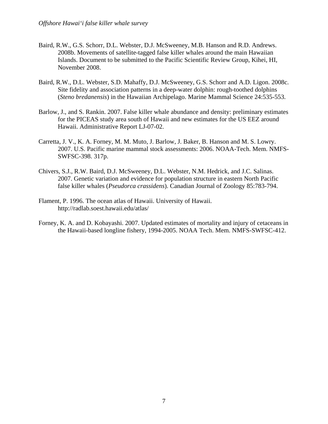- Baird, R.W., G.S. Schorr, D.L. Webster, D.J. McSweeney, M.B. Hanson and R.D. Andrews. 2008b. Movements of satellite-tagged false killer whales around the main Hawaiian Islands. Document to be submitted to the Pacific Scientific Review Group, Kihei, HI, November 2008.
- Baird, R.W., D.L. Webster, S.D. Mahaffy, D.J. McSweeney, G.S. Schorr and A.D. Ligon. 2008c. Site fidelity and association patterns in a deep-water dolphin: rough-toothed dolphins (*Steno bredanensis*) in the Hawaiian Archipelago. Marine Mammal Science 24:535-553.
- Barlow, J., and S. Rankin. 2007. False killer whale abundance and density: preliminary estimates for the PICEAS study area south of Hawaii and new estimates for the US EEZ around Hawaii. Administrative Report LJ-07-02.
- Carretta, J. V., K. A. Forney, M. M. Muto, J. Barlow, J. Baker, B. Hanson and M. S. Lowry. 2007. U.S. Pacific marine mammal stock assessments: 2006. NOAA-Tech. Mem. NMFS-SWFSC-398. 317p.
- Chivers, S.J., R.W. Baird, D.J. McSweeney, D.L. Webster, N.M. Hedrick, and J.C. Salinas. 2007. Genetic variation and evidence for population structure in eastern North Pacific false killer whales (*Pseudorca crassidens*). Canadian Journal of Zoology 85:783-794.
- Flament, P. 1996. The ocean atlas of Hawaii. University of Hawaii. http://radlab.soest.hawaii.edu/atlas/
- Forney, K. A. and D. Kobayashi. 2007. Updated estimates of mortality and injury of cetaceans in the Hawaii-based longline fishery, 1994-2005. NOAA Tech. Mem. NMFS-SWFSC-412.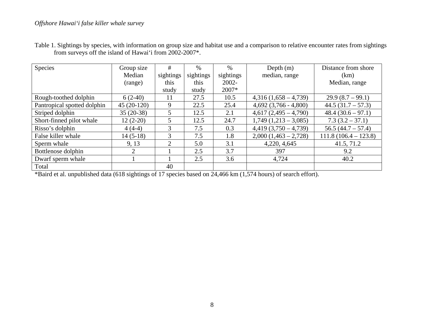| Species                     | Group size     | #                           | $\%$      | $\%$      | Depth $(m)$               | Distance from shore    |
|-----------------------------|----------------|-----------------------------|-----------|-----------|---------------------------|------------------------|
|                             | Median         | sightings                   | sightings | sightings | median, range             | (km)                   |
|                             | (range)        | this                        | this      | 2002-     |                           | Median, range          |
|                             |                | study                       | study     | 2007*     |                           |                        |
| Rough-toothed dolphin       | $6(2-40)$      | 11                          | 27.5      | 10.5      | $4,316(1,658-4,739)$      | $29.9(8.7-99.1)$       |
| Pantropical spotted dolphin | $45(20-120)$   | 9                           | 22.5      | 25.4      | $4,692$ $(3,766 - 4,800)$ | $44.5(31.7 - 57.3)$    |
| Striped dolphin             | $35(20-38)$    | 5                           | 12.5      | 2.1       | $4,617(2,495-4,790)$      | $48.4(30.6-97.1)$      |
| Short-finned pilot whale    | $12(2-20)$     | 5                           | 12.5      | 24.7      | $1,749$ $(1,213 - 3,085)$ | $7.3(3.2-37.1)$        |
| Risso's dolphin             | $4(4-4)$       | 3                           | 7.5       | 0.3       | $4,419$ $(3,750 - 4,739)$ | $56.5(44.7 - 57.4)$    |
| False killer whale          | $14(5-18)$     | 3                           | 7.5       | 1.8       | $2,000(1,463 - 2,728)$    | $111.8(106.4 - 123.8)$ |
| Sperm whale                 | 9, 13          | $\mathcal{D}_{\mathcal{L}}$ | 5.0       | 3.1       | 4,220, 4,645              | 41.5, 71.2             |
| Bottlenose dolphin          | $\overline{2}$ |                             | 2.5       | 3.7       | 397                       | 9.2                    |
| Dwarf sperm whale           |                |                             | 2.5       | 3.6       | 4,724                     | 40.2                   |
| Total                       |                | 40                          |           |           |                           |                        |

Table 1. Sightings by species, with information on group size and habitat use and a comparison to relative encounter rates from sightings from surveys off the island of Hawai'i from 2002-2007\*.

\*Baird et al. unpublished data (618 sightings of 17 species based on 24,466 km (1,574 hours) of search effort).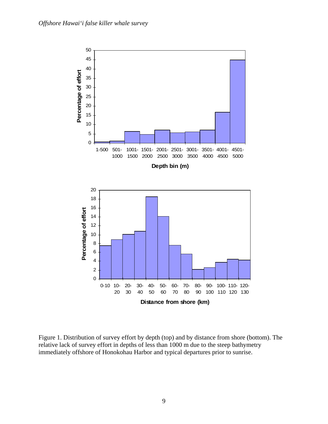

Figure 1. Distribution of survey effort by depth (top) and by distance from shore (bottom). The relative lack of survey effort in depths of less than 1000 m due to the steep bathymetry immediately offshore of Honokohau Harbor and typical departures prior to sunrise.